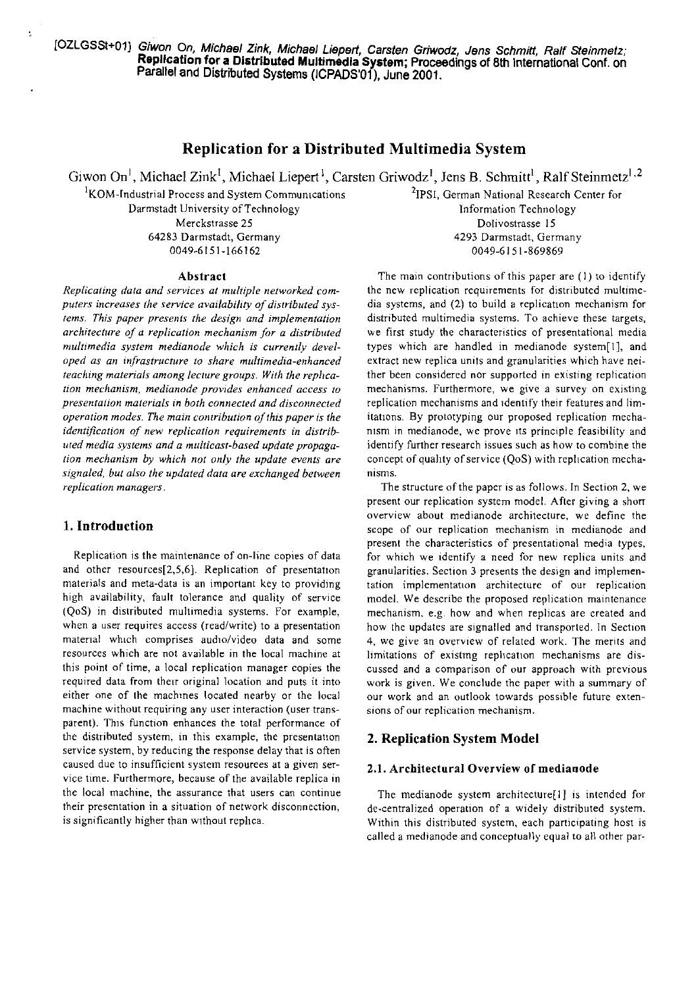# Replication for a Distributed Multimedia System

Giwon On<sup>1</sup>, Michael Zink<sup>1</sup>, Michael Liepert<sup>1</sup>, Carsten Griwodz<sup>1</sup>, Jens B. Schmitt<sup>1</sup>, Ralf Steinmetz<sup>1,2</sup>

<sup>1</sup>KOM-Industrial Process and System Communications Darmstadt University of Technology Merckstrasse 25 64283 Darmstadt, Germany 0049-6151-166162

<sup>2</sup>IPSI, German National Research Center for Information Technology Dolivostrasse 15 4293 Darmstadt, Germany 0049-6151-869869

#### Abstract

Replicating data and services at multiple networked computers increases the service availability of distributed systems. This paper presents the design and implementation architecture of a replication mechanism for a distributed multimedia system medianode which is currently developed as an infrastructure to share multimedia-enhanced teaching materials among lecture groups. With the replication mechanism, medianode provides enhanced access to presentation materials in both connected and disconnected operation modes. The main contribution of this paper is the identification of new replication requirements in distributed media systems and a multicast-based update propagation mechanism by which not only the update events are signaled, but also the updated data are exchanged between replication managers.

### 1. Introduction

Replication is the maintenance of on-line copies of data and other resources[2,5,6]. Replication of presentation materials and meta-data is an important key to providing high availability, fault tolerance and quality of service (QoS) in distributed multimedia systems. For example, when a user requires access (read/write) to a presentation material which comprises audio/video data and some resources which are not available in the local machine at this point of time, a local replication manager copies the required data from their original location and puts it into either one of the machines located nearby or the local machine without requiring any user interaction (user transparent). This function enhances the total performance of the distributed system, in this example, the presentation service system, by reducing the response delay that is often caused due to insufficient system resourees at a given service time. Furthermore, because of the available replica in the local machine, the assurance that users can continue their presentation in a situation of network disconnection, is significantly higher than without replica.

The main contributions of this paper are (1) to identify the new replication requirements for distributed multimedia systems, and (2) to build a replication mechanism for distributed multimedia systems. To achieve these targets, we first study the characteristics of presentational media types which are handled in medianode system[1], and extract new replica units and granularities which have neither been considered nor supported in existing replication mechanisms. Furthermore, we give a survey on existing replication mechanisms and identify their features and limitations. By prototyping our proposed replication mechanism in medianode, we prove its principle feasibility and identify further research issues such as how to combine the concept of quality of service (QoS) with replication mechanisms.

The structure of the paper is as follows. In Section 2, we present our replication system model. After giving a short overview about medianode architecture, we define the scope of our replication mechanism in medianode and present the characteristics of presentational media types, for which we identify a need for new replica units and granularities. Section 3 presents the design and implementation implementation architecture of our replication model. We describe the proposed replication maintenance mechanism, e.g. how and when replicas are created and how the updates are signalled and transported. In Section 4, we give an overview of related work. The merits and limitations of existing replication mechanisms are discussed and a comparison of our approach with previous work is given. We conclude the paper with a summary of our work and an outlook towards possible future extensions of our replication mechanism.

### 2. Replication System Model

### 2.1. Architectural Overview of medianode

The medianode system architecture[1] is intended for de-centralized operation of a widely distributed system. Within this distributed system, each participating host is called a medianode and conceptually equal to all other par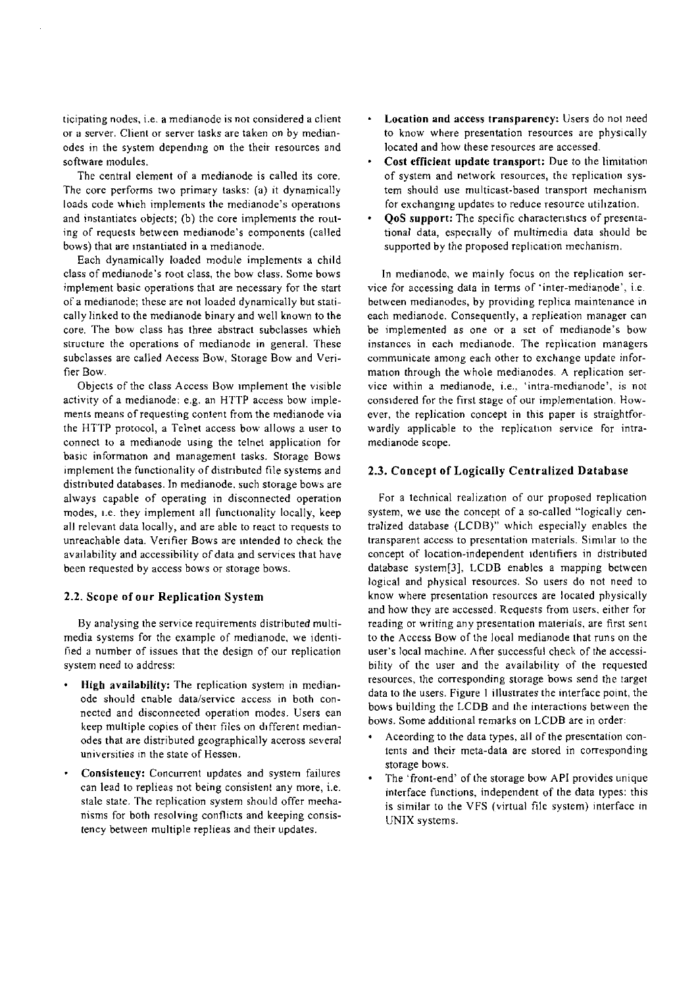ticipating nodes. i.e. a medianode is not considered a client or a server. Client or server tasks are taken on by medianodes in the system depending on the their resources and software modules.

The central element of a medianode is called its core. The core performs two primary tasks: (a) it dynamically loads code whieh implements the medianode's operations and instantiates objects; (b) the core implements the routing of requests between medianode's eomponents (called bows) that are instantiated in a medianode.

Each dynamically loaded module implements a child class of medianode's root class, the bow class. Some bows implement basic operations that are necessary for the start of a medianode; these are not loaded dynamically but statically linked to the medianode binary and well known to the core. The bow class has three abstract subclasses whieh structure the operations of medianode in general. These subclasses are called Aecess Bow, Storage Bow and Verifier Bow.

Objects of the class Access Bow implement the visible activity of a medianode: e.g. an HTTP access bow implements means of requesting content from the medianode via the HTTP protocol, a Telnet access bow allows a user to connect to a medianode using the telnet application for basic information and management tasks. Storage Bows implement the functionality of distributed file systems and distributed databases. In medianode. such storage bows are always capable of operating in disconnected operation modes, 1.e. they implement all functionality locally, keep all relevant data locally, and are able to react to requests to unreachable data. Verifier Bows are intended to check the availability and accessibility of data and services that have been requested by access bows or storage bows.

### **2.2.** Scope of our Replication System

By analysing the service requirements distributed multimedia systems for the example of medianode, we identified a number of issues that the design of our replication system need to address:

- High availability: The replication system in medianode should enable data/service access in both connected and disconneeted operation modes. Users ean keep multiple copies of their files on different medianodes that are distributed geographically aceross several universities in the state of Hessen.
- Consisteucy: Concurrent updates and system failures can lead to replieas not being consistent any more, i.e. stale state. The replication system should offer meehanisms for both resolving conflicts and keeping consistency between multiple replieas and their updates.
- Location and access transparency: Users do not need to know where presentation resources are physically located and how these resources are accessed.
- Cost efiicient update transport: Due to the limitation of system and network resources, the replication system should use multicast-based transport mechanism for exchanging updates to reduce resource utilization.
- QoS Support: The specific characteristics of presentational data, especially of multimedia data should be suppotted by the proposed replication mechanism.

In medianode, we mainly focus on the replication service for accessing data in terms of 'inter-medianode', i.e. between medianodes, by providing replica maintenance in each medianode. Consequently, a replieation manager can be implemented as one or a set of medianode's bow instances in each medianode. The replication managers communicate among each other to exchange update information through the whole medianodes. A replication service within a medianode, i.e.. 'intra-medianode', is not considered for the first stage of our implementation. However, the replication concept in this paper is straightforwardly applicable to the replication service for intramedianode scope.

### **2.3.** Concept of Logically Centralized Database

For a technical realization of our proposed replication system, we use the concept of a so-called "logically centralized database (LCDB)" which especially enables the transparent access to presentation materials. Similar to the concept of location-independent identifiers in distributed database system[3], LCDB enables a mapping between logical and physical resources. So users do not need to know where presentation resources are located physically and how they are accessed. Requests from users. either for reading or writing any presentation materials, are first sent to the Access Bow of the loeal medianode that runs on the user's local machine. After successful check of the accessibility of the user and the availability of the requested resources, the corresponding storage bows send the target data to the users. Figure I illustrates the interface point, the bows building the LCDB and ihe interactions between the bows. Some additional remarks on LCDB are in order:

- Aceording to the data types, all of the presentation contents and their meta-data are stored in corresponding storage bows.
- The 'front-end' of the storage bow API provides unique interface functions, independent of the data types: this is similar to the VFS (virtual file system) interface in UNIX systems.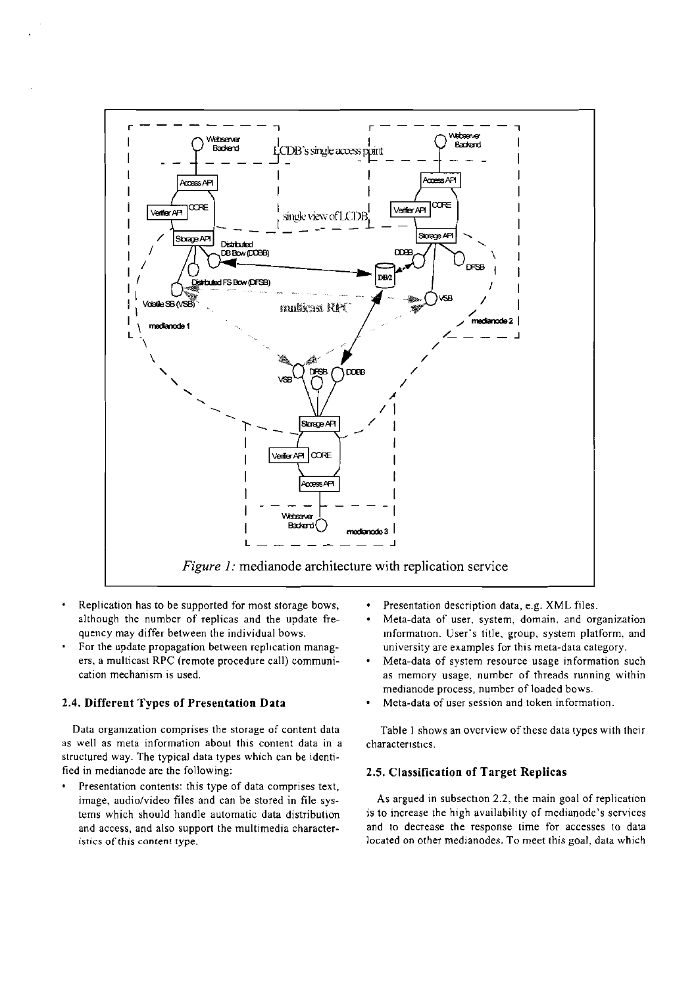

- Replication has to be supported for most storage bows, although the number of replicas and the update frequency may differ between the individual bows.
- For the update propagation between replication managers, a multicast RPC (remote procedure call) communication mechanism is used.

### **2.4. Different Types of Presentation Data**

Data organization comprises the storage of content data as well as meta information about this conrent data in a structured way. The typical data types which can be identified in medianode are the following:

Presentation contents: this type of data comprises text,  $\bullet$ image, audio/video files and can be stored in file systems which should handle automatic data distribution and access, and also support the multimedia characteristics of this content type.

- Presentation description data, e.g. XML files.
- Meta-data of User. system, domain. and organization information. User's title. group, system platform, and university are examples for this meta-data category.
- Meta-data of system resource usage information such as memory usage. number of threads running within medianode process, number of loaded bows.
- Meta-data of User session and token information.

Table 1 shows an overview ofthese data types with their characteristics.

### **2.5. Classification of Target Replicas**

As argued in subsection **2.2,** the main goal of replication is to increase the high availability of medianode's services and to decrease the response time for accesses to data located on other medianodes. To meet this goal, data which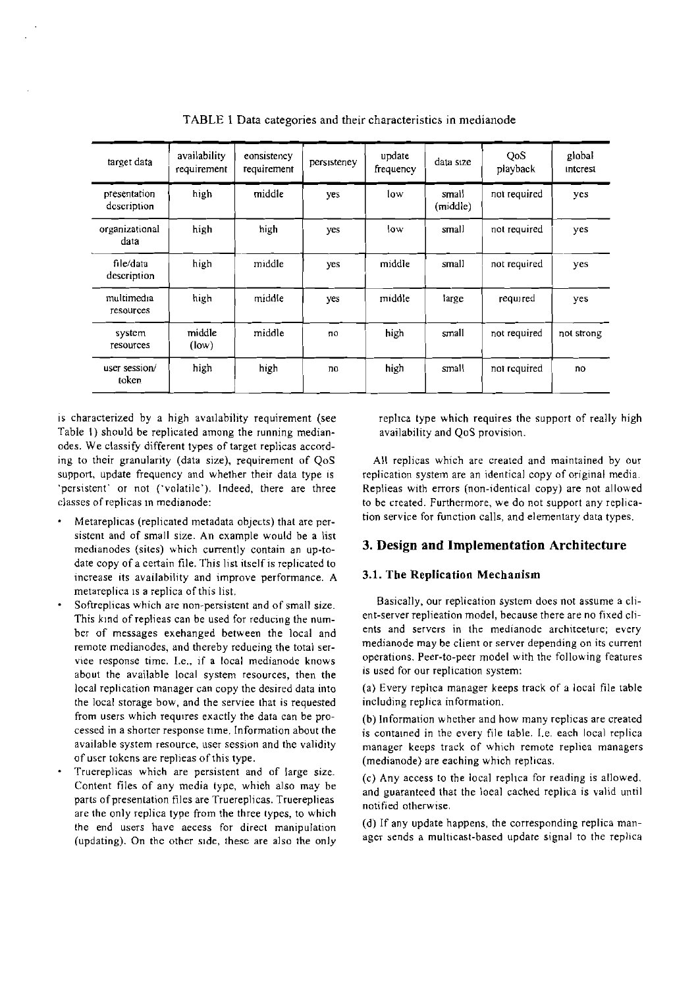| target data                    | availability<br>requirement | eonsistency<br>requirement | persistency | update<br>frequency | data size         | QoS<br>playback | global<br>interest |
|--------------------------------|-----------------------------|----------------------------|-------------|---------------------|-------------------|-----------------|--------------------|
| presentation<br>description    | high                        | middle                     | yes         | low                 | small<br>(middle) | not required    | yes                |
| organizational<br>data         | high                        | high                       | yes         | low                 | small             | not required    | yes                |
| file/data<br>description       | high                        | middle                     | yes         | middle              | small             | not required    | yes                |
| multimedia<br><b>resources</b> | high                        | middle                     | yes         | middle              | large             | required        | yes                |
| system<br>resources            | middle<br>(low)             | middle                     | пO          | high                | small             | not required    | not strong         |
| user session/<br>token         | high                        | high                       | no          | high                | small             | not required    | no                 |

TABLE 1 Data categories and their characteristics in medianode

is characterized by a high availability requirement (see Table I) should be replicated among the running medianodes. We classify different types of target replicas according to their granularity (data size), requirement of QoS support, update frequency and whether their data type is 'persistent' or not ('volatile'). Indeed, there are three classes of replicas in medianode:

- Metareplicas (replicated metadata objects) that are persistent and of small size. An example would be a list medianodes (sites) which currently contain an up-todate copy of a certain file. This list itself is replicated to increase its availability and improve performance. A metareplica is a replica of this list.
- remote medianodes, and thereby redueing the total serabout the available local system resources, then the is used for our replication system: local replication manager can copy the desired data into (a) Every replica manager keeps track of a local file table the local storage bow, and the serviee that is requested including replica information. from users which requires exactly the data can be pro-<br>cessed in a shorter response time. Information about the  $\frac{1}{18}$  contained in the every file table. Le each local replica
- Truereplicas which are persistent and of large size. Content files of any media type, whieh also may be parts of presentation files are Truereplicas. Truereplieas are the only replica type from the three types, to which the end users have aecess for direct manipulation (updating). On the other sidc, these are also the only

replica type which requires the support of really high availability and QoS provision.

All replicas which are created and maintained by our replication system are an identical copy of original media. Replieas with errors (non-identical copy) are not alloued to be created. Furthermore, we do not support any replication service for function calls, and elementary data types.

## **3. Design and Implementation Architecture**

### **3.1. The Replication Mechanism**

Softreplicas which are non-persistent and of small size.<br>This kind of replies can be used for reducing the num-<br>ent-server replieation model, because there are no fixed cli-<br>this kind of replies can be used for reducing th This kind of replieas can be used for reducing the num-<br>her of messages exchanged between the local and server and servers in the medianode architecture; every ber of messages exehanged between the local and<br>remote medianodes and thereby reducing the total ser. Integrational medianode may be client or server depending on its current response time. I.e., if a local medianode knows operations. Peer-to-peer model with the following features

cessed in a shorter response time. Information about the is contained in the every file table. I.e. each local replica<br>available system resource, user session and the validity in manager, keens track of which remote replie available system resource, user session and the validity manager keeps track of which remote repliea managers<br>of user tokens are replieas of this type. (medianode) are eaching which replicas (medianode) are eaching which replicas.

> (C) Any access to the local replica for reading is allowed. and guaranteed that the loeal cached replica is valid until notified otherwise

> (d) If any update happens, the corresponding replica manager sends a multicast-based update signal to the replica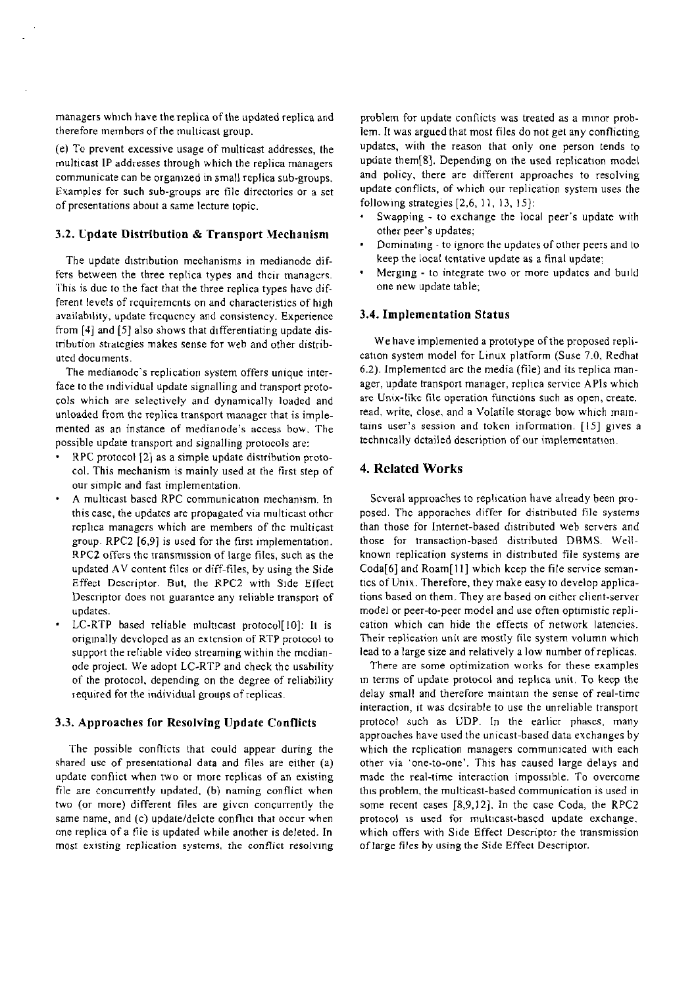managers which have thereplica of the updated replica and therefore members of the multicast group.

(e) To prevent excessive usage of multicast addresses, the multicast IP addresses through which the replica managers cornmunicate can be organized in srnall replica sub-groups. Examples for such sub-groups are file directories or a set of presentations about a same lecture topic.

### **3.2. Cpdate Distribution** & **Transport Mechanism**

The update distribution mechanisms in medianode differs between the three replica types and thcir managcrs. 'fhis is due to the fact that the three replica types havc different levels of rcquiremcnts on and characteristics of high availabtlity, update ficqucncy and consistency. Experience from [4] and *[5]* also shows that differentiating update distribution strategies makes sense for web and other distributed docurnents.

The medianode's replication system offers unique interface to the individual update signalling and transport protocols which are selectively and dynamically loaded and unloaded from the replica transport manager that is implemented as an instance of medianode's access bow. The possible update transport and signalling protocols are:

- RPC protocol [2] as a simple update distribution protocol. This mechanism is mainly used at the first step of our simple and fast implementation.
- A rnulticast bascd RPC communication mechanism. In this case, the updates are propagated via multicast other replica rnanagers which are members of thc multicast group. RPC2 **[6,9]** is used for the first implementation. RPC2 offers the transmission of large files, such as the updated AV content files or diff-files, by using the Side Effect Descriptor. But, the RPC2 with Side Effect Descnptor does not guarantce any reliable transport of updates.
- LC-RTP based reliable multicast protocol[10]: It is originally devcloped as an extcnsion of RTP protocol to Support the reliable video streaming within the mcdianode project. We adopt LC-RTP and check thc usability of the protocol, depending on the degree of reliability iequired for the individual groups of replicas.

#### **3.3. Approaches for Resolving Update Conflicts**

The possible conflicts that could appear during the shared usc of presentational data and files are either (a) update conflict when two or more replicas of an existing file are concurrently updated. (b) naming conflict when two (or more) different files are given concurrently the same name, and (c) update/delcte conflict that occur when one replica of a file is updated while another is deleted. In rnost existing replication **systems. the** conflict resolving

problem for update conflicts was treated as a minor problern. It was argued that most files do not get any conflicting updates, with the reason that only one person tends to update them[8]. Depending on the used replication model and policy, there are different approaches to resolving update conflicts. of which our replication system uses the following strategies  $[2,6, 11, 13, 15]$ :

- Swapping to exchange the local peer's update with other peer's updates;
- Dominating to ignore the updates of other peers and to keep the local tcntative update as a final update;
- Merging to integrate two or more updates and build one new update table;

### **3.4. Implementation Status**

We have implemented a prototype of the proposed replication system model for Linux platform (Suse 7.0, Redhat 6.2). Implementcd are the media (file) and its replica manager, update transport manager, replica service APIs which arc Unix-like file operation functions such as open, create. read, write, close, and a Volatile storage bow which maintains user's session and token information.  $[15]$  gives a technically dctailed description of our implementation.

### **4. Related Works**

Scveral approaches to replication have already been proposed. Thc apporaches differ for distributed file systems than those for Internet-based distributed web Servers and those for transaction-based distributed DBMS. Wellknown replication systems in distributed file systerns are Coda[6] and Roam[l **I]** which kcep the file service semantics of Unix. Therefore, they make easy to develop applications based on them. They are based on cithcr client-server rnodel or peer-to-peer rnodel and use often optirnistic replication which can hide the effects of network latencies. Their replication unit are mostly file system volumn which lead to a large size and relatively a low number of replicas.

There are some optimization works for these examples in terms of update protocol and replica unit. To keep the delay small and therefore maintain the sense of real-timc interaction, it was dcsirable to use the unreliable transport protocol such as UDP. In the earlicr phascs, many approaches have used the unicast-based data erchanges by which the replication managers communicated with each other via 'one-10-one'. This has caused large delays and made the real-time interaction impossible. To overcome this problem. the rnulticast-based comrnunication is used in some recent cases [8,9,12]. In thc case Coda, the RPC2 protocol is used for multicast-based update exchange. which offers with Side Effect Descriptor the transrnission of large files hy using the Side Effect Descriptor.